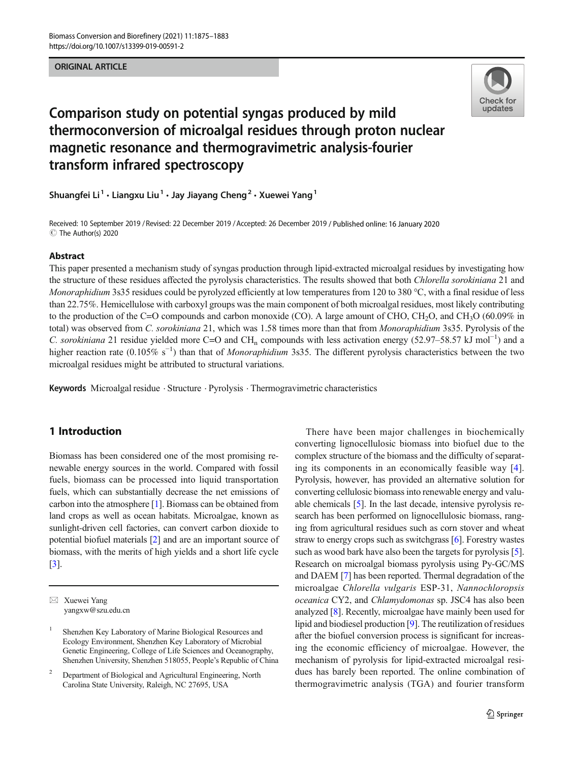#### **ORIGINAL ARTICLE** ORIGINAL ARTICLE



# Comparison study on potential syngas produced by mild thermoconversion of microalgal residues through proton nuclear magnetic resonance and thermogravimetric analysis-fourier transform infrared spectroscopy

Shuangfei Li<sup>1</sup> · Liangxu Liu<sup>1</sup> · Jay Jiayang Cheng<sup>2</sup> · Xuewei Yang<sup>1</sup>

Received: 10 September 2019 / Revised: 22 December 2019 / Accepted: 26 December 2019 / Published online: 16 January 2020 C The Author(s) 2020

#### Abstract

This paper presented a mechanism study of syngas production through lipid-extracted microalgal residues by investigating how the structure of these residues affected the pyrolysis characteristics. The results showed that both *Chlorella sorokiniana* 21 and Monoraphidium 3s35 residues could be pyrolyzed efficiently at low temperatures from 120 to 380 °C, with a final residue of less than 22.75%. Hemicellulose with carboxyl groups was the main component of both microalgal residues, most likely contributing to the production of the C=O compounds and carbon monoxide (CO). A large amount of CHO, CH<sub>2</sub>O, and CH<sub>3</sub>O (60.09% in total) was observed from C. sorokiniana 21, which was 1.58 times more than that from Monoraphidium 3s35. Pyrolysis of the C. sorokiniana 21 residue yielded more C=O and CH<sub>n</sub> compounds with less activation energy (52.97–58.57 kJ mol<sup>-1</sup>) and a higher reaction rate  $(0.105\% \text{ s}^{-1})$  than that of *Monoraphidium* 3s35. The different pyrolysis characteristics between the two microalgal residues might be attributed to structural variations.

Keywords Microalgal residue · Structure · Pyrolysis · Thermogravimetric characteristics

# 1 Introduction

Biomass has been considered one of the most promising renewable energy sources in the world. Compared with fossil fuels, biomass can be processed into liquid transportation fuels, which can substantially decrease the net emissions of carbon into the atmosphere [\[1](#page-7-0)]. Biomass can be obtained from land crops as well as ocean habitats. Microalgae, known as sunlight-driven cell factories, can convert carbon dioxide to potential biofuel materials [[2](#page-7-0)] and are an important source of biomass, with the merits of high yields and a short life cycle [\[3](#page-7-0)].

 $\boxtimes$  Xuewei Yang [yangxw@szu.edu.cn](mailto:yangxw@szu.edu.cn)

There have been major challenges in biochemically converting lignocellulosic biomass into biofuel due to the complex structure of the biomass and the difficulty of separating its components in an economically feasible way [\[4](#page-7-0)]. Pyrolysis, however, has provided an alternative solution for converting cellulosic biomass into renewable energy and valuable chemicals [[5\]](#page-7-0). In the last decade, intensive pyrolysis research has been performed on lignocellulosic biomass, ranging from agricultural residues such as corn stover and wheat straw to energy crops such as switchgrass [\[6](#page-7-0)]. Forestry wastes such as wood bark have also been the targets for pyrolysis [[5\]](#page-7-0). Research on microalgal biomass pyrolysis using Py-GC/MS and DAEM [[7\]](#page-7-0) has been reported. Thermal degradation of the microalgae Chlorella vulgaris ESP-31, Nannochloropsis oceanica CY2, and Chlamydomonas sp. JSC4 has also been analyzed [\[8\]](#page-7-0). Recently, microalgae have mainly been used for lipid and biodiesel production [\[9](#page-7-0)]. The reutilization of residues after the biofuel conversion process is significant for increasing the economic efficiency of microalgae. However, the mechanism of pyrolysis for lipid-extracted microalgal residues has barely been reported. The online combination of thermogravimetric analysis (TGA) and fourier transform

<sup>1</sup> Shenzhen Key Laboratory of Marine Biological Resources and Ecology Environment, Shenzhen Key Laboratory of Microbial Genetic Engineering, College of Life Sciences and Oceanography, Shenzhen University, Shenzhen 518055, People's Republic of China

<sup>&</sup>lt;sup>2</sup> Department of Biological and Agricultural Engineering, North Carolina State University, Raleigh, NC 27695, USA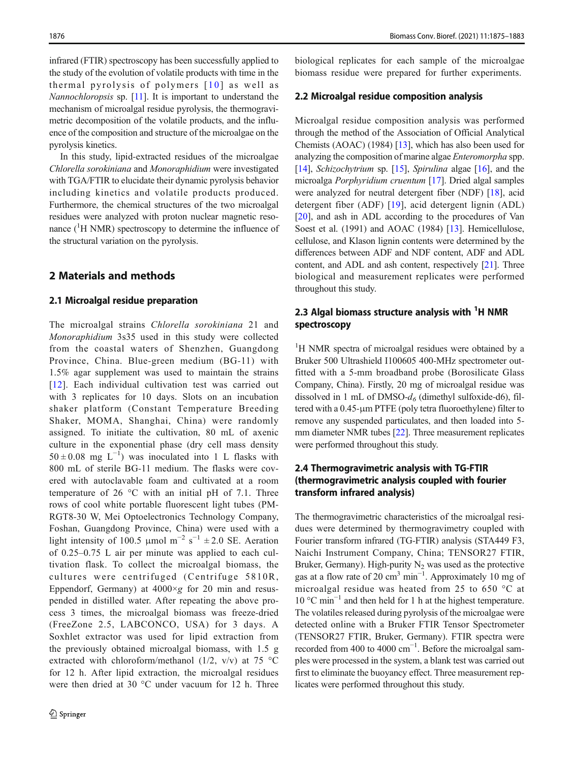infrared (FTIR) spectroscopy has been successfully applied to the study of the evolution of volatile products with time in the thermal pyrolysis of polymers  $[10]$  as well as Nannochloropsis sp. [\[11\]](#page-7-0). It is important to understand the mechanism of microalgal residue pyrolysis, the thermogravimetric decomposition of the volatile products, and the influence of the composition and structure of the microalgae on the pyrolysis kinetics.

In this study, lipid-extracted residues of the microalgae Chlorella sorokiniana and Monoraphidium were investigated with TGA/FTIR to elucidate their dynamic pyrolysis behavior including kinetics and volatile products produced. Furthermore, the chemical structures of the two microalgal residues were analyzed with proton nuclear magnetic resonance  $({}^{1}H$  NMR) spectroscopy to determine the influence of the structural variation on the pyrolysis.

## 2 Materials and methods

#### 2.1 Microalgal residue preparation

The microalgal strains Chlorella sorokiniana 21 and Monoraphidium 3s35 used in this study were collected from the coastal waters of Shenzhen, Guangdong Province, China. Blue-green medium (BG-11) with 1.5% agar supplement was used to maintain the strains [\[12\]](#page-7-0). Each individual cultivation test was carried out with 3 replicates for 10 days. Slots on an incubation shaker platform (Constant Temperature Breeding Shaker, MOMA, Shanghai, China) were randomly assigned. To initiate the cultivation, 80 mL of axenic culture in the exponential phase (dry cell mass density  $50 \pm 0.08$  mg L<sup>-1</sup>) was inoculated into 1 L flasks with 800 mL of sterile BG-11 medium. The flasks were covered with autoclavable foam and cultivated at a room temperature of 26 °C with an initial pH of 7.1. Three rows of cool white portable fluorescent light tubes (PM-RGT8-30 W, Mei Optoelectronics Technology Company, Foshan, Guangdong Province, China) were used with a light intensity of 100.5 µmol m<sup>-2</sup> s<sup>-1</sup> ± 2.0 SE. Aeration of 0.25–0.75 L air per minute was applied to each cultivation flask. To collect the microalgal biomass, the cultures were centrifuged (Centrifuge 5810R, Eppendorf, Germany) at  $4000 \times g$  for 20 min and resuspended in distilled water. After repeating the above process 3 times, the microalgal biomass was freeze-dried (FreeZone 2.5, LABCONCO, USA) for 3 days. A Soxhlet extractor was used for lipid extraction from the previously obtained microalgal biomass, with 1.5 g extracted with chloroform/methanol (1/2, v/v) at 75 °C for 12 h. After lipid extraction, the microalgal residues were then dried at 30 °C under vacuum for 12 h. Three

biological replicates for each sample of the microalgae biomass residue were prepared for further experiments.

#### 2.2 Microalgal residue composition analysis

Microalgal residue composition analysis was performed through the method of the Association of Official Analytical Chemists (AOAC) (1984) [\[13\]](#page-7-0), which has also been used for analyzing the composition of marine algae Enteromorpha spp. [\[14](#page-7-0)], Schizochytrium sp. [[15](#page-7-0)], Spirulina algae [[16](#page-8-0)], and the microalga Porphyridium cruentum [\[17\]](#page-8-0). Dried algal samples were analyzed for neutral detergent fiber (NDF) [[18\]](#page-8-0), acid detergent fiber (ADF) [[19\]](#page-8-0), acid detergent lignin (ADL) [\[20](#page-8-0)], and ash in ADL according to the procedures of Van Soest et al. (1991) and AOAC (1984) [[13](#page-7-0)]. Hemicellulose, cellulose, and Klason lignin contents were determined by the differences between ADF and NDF content, ADF and ADL content, and ADL and ash content, respectively [[21\]](#page-8-0). Three biological and measurement replicates were performed throughout this study.

# 2.3 Algal biomass structure analysis with  $1$ H NMR spectroscopy

<sup>1</sup>H NMR spectra of microalgal residues were obtained by a Bruker 500 Ultrashield I100605 400-MHz spectrometer outfitted with a 5-mm broadband probe (Borosilicate Glass Company, China). Firstly, 20 mg of microalgal residue was dissolved in 1 mL of DMSO- $d_6$  (dimethyl sulfoxide-d6), filtered with a 0.45-μm PTFE (poly tetra fluoroethylene) filter to remove any suspended particulates, and then loaded into 5 mm diameter NMR tubes [[22\]](#page-8-0). Three measurement replicates were performed throughout this study.

# 2.4 Thermogravimetric analysis with TG-FTIR (thermogravimetric analysis coupled with fourier transform infrared analysis)

The thermogravimetric characteristics of the microalgal residues were determined by thermogravimetry coupled with Fourier transform infrared (TG-FTIR) analysis (STA449 F3, Naichi Instrument Company, China; TENSOR27 FTIR, Bruker, Germany). High-purity  $N_2$  was used as the protective gas at a flow rate of 20 cm<sup>3</sup> min<sup>-1</sup>. Approximately 10 mg of microalgal residue was heated from 25 to 650 °C at 10 °C min−<sup>1</sup> and then held for 1 h at the highest temperature. The volatiles released during pyrolysis of the microalgae were detected online with a Bruker FTIR Tensor Spectrometer (TENSOR27 FTIR, Bruker, Germany). FTIR spectra were recorded from 400 to 4000 cm<sup>-1</sup>. Before the microalgal samples were processed in the system, a blank test was carried out first to eliminate the buoyancy effect. Three measurement replicates were performed throughout this study.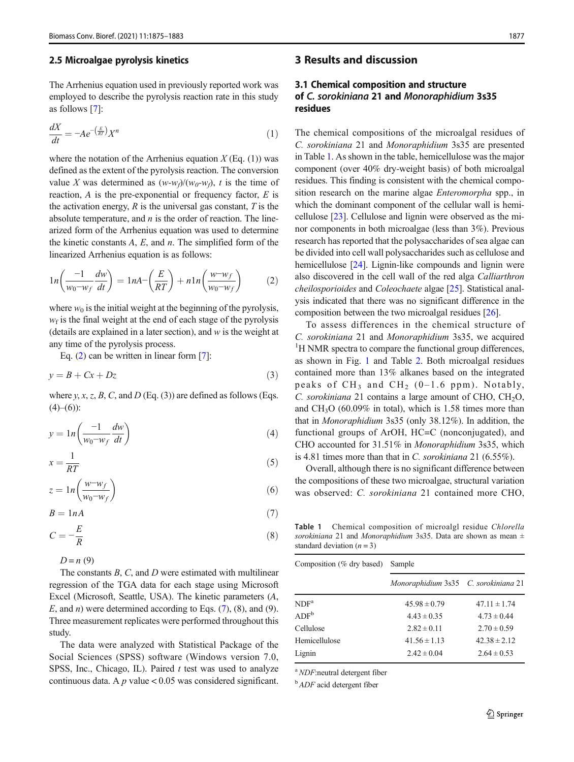#### 2.5 Microalgae pyrolysis kinetics

The Arrhenius equation used in previously reported work was employed to describe the pyrolysis reaction rate in this study as follows [\[7](#page-7-0)]:

$$
\frac{dX}{dt} = -A e^{-\left(\frac{E}{RT}\right)} X^n \tag{1}
$$

where the notation of the Arrhenius equation  $X$  (Eq. (1)) was defined as the extent of the pyrolysis reaction. The conversion value X was determined as  $(w-w_f)/(w_0-w_f)$ , t is the time of reaction,  $A$  is the pre-exponential or frequency factor,  $E$  is the activation energy,  $R$  is the universal gas constant,  $T$  is the absolute temperature, and  $n$  is the order of reaction. The linearized form of the Arrhenius equation was used to determine the kinetic constants  $A$ ,  $E$ , and  $n$ . The simplified form of the linearized Arrhenius equation is as follows:

$$
ln\left(\frac{-1}{w_0 - w_f} \frac{dw}{dt}\right) = 1nA - \left(\frac{E}{RT}\right) + n1n\left(\frac{w - w_f}{w_0 - w_f}\right) \tag{2}
$$

where  $w_0$  is the initial weight at the beginning of the pyrolysis,  $w_f$  is the final weight at the end of each stage of the pyrolysis (details are explained in a later section), and  $w$  is the weight at any time of the pyrolysis process.

Eq.  $(2)$  can be written in linear form [\[7](#page-7-0)]:

$$
y = B + Cx + Dz \tag{3}
$$

where y, x, z, B, C, and D (Eq. (3)) are defined as follows (Eqs.  $(4)–(6)$ :

$$
y = \ln\left(\frac{-1}{w_0 - w_f} \frac{dw}{dt}\right) \tag{4}
$$

$$
x = \frac{1}{RT} \tag{5}
$$

$$
z = \ln\left(\frac{w - w_f}{w_0 - w_f}\right) \tag{6}
$$

$$
B = 1nA \tag{7}
$$

$$
C = -\frac{E}{R} \tag{8}
$$

 $D = n(9)$ 

The constants  $B, C$ , and  $D$  were estimated with multilinear regression of the TGA data for each stage using Microsoft Excel (Microsoft, Seattle, USA). The kinetic parameters (A, E, and *n*) were determined according to Eqs.  $(7)$ ,  $(8)$ , and  $(9)$ . Three measurement replicates were performed throughout this study.

The data were analyzed with Statistical Package of the Social Sciences (SPSS) software (Windows version 7.0, SPSS, Inc., Chicago, IL). Paired  $t$  test was used to analyze continuous data. A  $p$  value < 0.05 was considered significant.

# 3 Results and discussion

# 3.1 Chemical composition and structure of C. sorokiniana 21 and Monoraphidium 3s35 residues

The chemical compositions of the microalgal residues of C. sorokiniana 21 and Monoraphidium 3s35 are presented in Table 1. As shown in the table, hemicellulose was the major component (over 40% dry-weight basis) of both microalgal residues. This finding is consistent with the chemical composition research on the marine algae Enteromorpha spp., in which the dominant component of the cellular wall is hemicellulose [\[23](#page-8-0)]. Cellulose and lignin were observed as the minor components in both microalgae (less than 3%). Previous research has reported that the polysaccharides of sea algae can be divided into cell wall polysaccharides such as cellulose and hemicellulose [[24](#page-8-0)]. Lignin-like compounds and lignin were also discovered in the cell wall of the red alga Calliarthron cheilosporioides and Coleochaete algae [[25](#page-8-0)]. Statistical analysis indicated that there was no significant difference in the composition between the two microalgal residues [[26](#page-8-0)].

To assess differences in the chemical structure of C. sorokiniana 21 and Monoraphidium 3s35, we acquired <sup>1</sup>H NMR spectra to compare the functional group differences, as shown in Fig. [1](#page-3-0) and Table [2.](#page-3-0) Both microalgal residues contained more than 13% alkanes based on the integrated peaks of  $CH_3$  and  $CH_2$  (0–1.6 ppm). Notably, C. sorokiniana 21 contains a large amount of CHO,  $CH<sub>2</sub>O$ , and  $CH<sub>3</sub>O$  (60.09% in total), which is 1.58 times more than that in Monoraphidium 3s35 (only 38.12%). In addition, the functional groups of ArOH, HC=C (nonconjugated), and CHO accounted for 31.51% in Monoraphidium 3s35, which is 4.81 times more than that in C. sorokiniana 21 (6.55%).

Overall, although there is no significant difference between the compositions of these two microalgae, structural variation was observed: C. sorokiniana 21 contained more CHO,

Table 1 Chemical composition of microalgl residue Chlorella sorokiniana 21 and Monoraphidium 3s35. Data are shown as mean  $\pm$ standard deviation  $(n = 3)$ 

| Composition (% dry based) Sample |                                      |                  |
|----------------------------------|--------------------------------------|------------------|
|                                  | Monoraphidium 3s35 C. sorokiniana 21 |                  |
| NDF <sup>a</sup>                 | $45.98 \pm 0.79$                     | $47.11 \pm 1.74$ |
| ADF <sup>b</sup>                 | $4.43 \pm 0.35$                      | $4.73 \pm 0.44$  |
| Cellulose                        | $2.82 \pm 0.11$                      | $2.70 \pm 0.59$  |
| Hemicellulose                    | $41.56 \pm 1.13$                     | $42.38 \pm 2.12$ |
| Lignin                           | $2.42 \pm 0.04$                      | $2.64 \pm 0.53$  |

<sup>a</sup> NDF:neutral detergent fiber

 $b$  ADF acid detergent fiber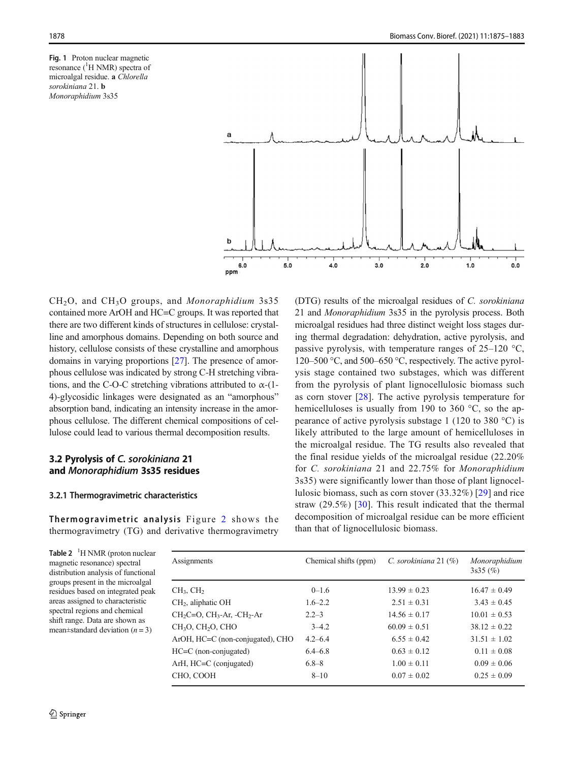<span id="page-3-0"></span>Fig. 1 Proton nuclear magnetic resonance (<sup>1</sup>H NMR) spectra of microalgal residue. a Chlorella sorokiniana 21. **b** Monoraphidium 3s35



CH2O, and CH3O groups, and Monoraphidium 3s35 contained more ArOH and HC=C groups. It was reported that there are two different kinds of structures in cellulose: crystalline and amorphous domains. Depending on both source and history, cellulose consists of these crystalline and amorphous domains in varying proportions [\[27](#page-8-0)]. The presence of amorphous cellulose was indicated by strong C-H stretching vibrations, and the C-O-C stretching vibrations attributed to  $\alpha$ -(1-4)-glycosidic linkages were designated as an "amorphous" absorption band, indicating an intensity increase in the amorphous cellulose. The different chemical compositions of cellulose could lead to various thermal decomposition results.

## 3.2 Pyrolysis of C. sorokiniana 21 and Monoraphidium 3s35 residues

#### 3.2.1 Thermogravimetric characteristics

Thermogravimetric analysis Figure [2](#page-4-0) shows the thermogravimetry (TG) and derivative thermogravimetry

microalgal residues had three distinct weight loss stages during thermal degradation: dehydration, active pyrolysis, and passive pyrolysis, with temperature ranges of 25–120 °C, 120–500 °C, and 500–650 °C, respectively. The active pyrolysis stage contained two substages, which was different from the pyrolysis of plant lignocellulosic biomass such as corn stover [\[28](#page-8-0)]. The active pyrolysis temperature for hemicelluloses is usually from 190 to 360 °C, so the appearance of active pyrolysis substage 1 (120 to 380 °C) is likely attributed to the large amount of hemicelluloses in the microalgal residue. The TG results also revealed that the final residue yields of the microalgal residue (22.20% for C. sorokiniana 21 and 22.75% for Monoraphidium 3s35) were significantly lower than those of plant lignocellulosic biomass, such as corn stover (33.32%) [\[29\]](#page-8-0) and rice straw (29.5%) [\[30](#page-8-0)]. This result indicated that the thermal decomposition of microalgal residue can be more efficient than that of lignocellulosic biomass.

(DTG) results of the microalgal residues of C. sorokiniana 21 and Monoraphidium 3s35 in the pyrolysis process. Both

Table 2  $1$ <sup>H</sup> NMR (proton nuclear magnetic resonance) spectral distribution analysis of functional groups present in the microalgal residues based on integrated peak areas assigned to characteristic spectral regions and chemical shift range. Data are shown as mean $\pm$ standard deviation (*n* = 3)

Assignments Chemical shifts (ppm) C. sorokiniana 21 (%) Monoraphidium 3s35 (%) CH<sub>3</sub>, CH<sub>2</sub> 13.99  $\pm$  0–1.6 13.99  $\pm$  0.23 16.47  $\pm$  0.49 CH<sub>2</sub>, aliphatic OH 1.6–2.2 2.51  $\pm$  0.31 3.43  $\pm$  0.45 CH<sub>2</sub>C=O, CH<sub>3</sub>-Ar, -CH<sub>2</sub>-Ar 2.2–3 14.56  $\pm$  0.17 10.01  $\pm$  0.53 CH<sub>3</sub>O, CH<sub>2</sub>O, CHO  $3-4.2$  60.09  $\pm$  0.51 38.12  $\pm$  0.22 ArOH, HC=C (non-conjugated), CHO  $4.2-6.4$  6.55  $\pm$  0.42 31.51  $\pm$  1.02 HC=C (non-conjugated)  $6.4-6.8$   $0.63 \pm 0.12$   $0.11 \pm 0.08$ ArH, HC=C (conjugated)  $6.8-8$   $1.00 \pm 0.11$   $0.09 \pm 0.06$ CHO, COOH 8–10  $8-10$  0.07  $\pm$  0.02 0.25  $\pm$  0.09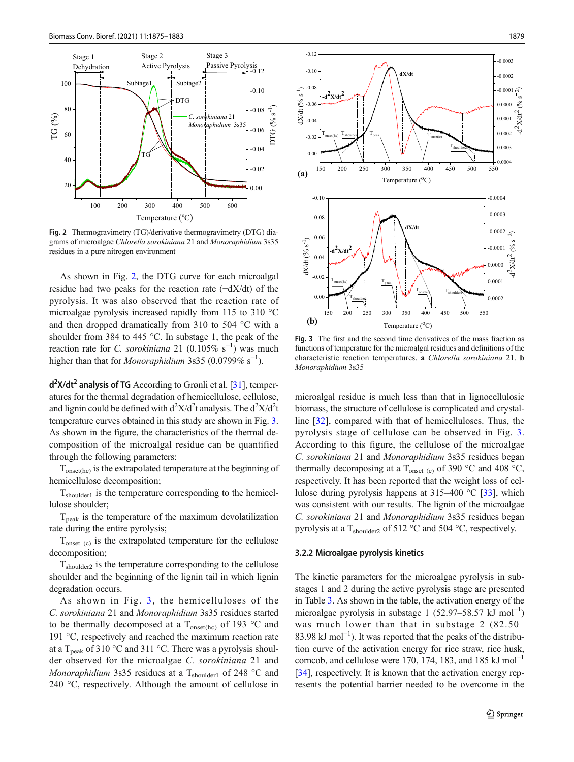<span id="page-4-0"></span>

Fig. 2 Thermogravimetry (TG)/derivative thermogravimetry (DTG) diagrams of microalgae Chlorella sorokiniana 21 and Monoraphidium 3s35 residues in a pure nitrogen environment

As shown in Fig. 2, the DTG curve for each microalgal residue had two peaks for the reaction rate (−dX/dt) of the pyrolysis. It was also observed that the reaction rate of microalgae pyrolysis increased rapidly from 115 to 310 °C and then dropped dramatically from 310 to 504 °C with a shoulder from 384 to 445 °C. In substage 1, the peak of the reaction rate for *C. sorokiniana* 21 (0.105% s<sup>-1</sup>) was much higher than that for *Monoraphidium* 3s35 (0.0799% s<sup>-1</sup>).

d<sup>2</sup>X/dt<sup>2</sup> analysis of TG According to Grønli et al. [[31](#page-8-0)], temperatures for the thermal degradation of hemicellulose, cellulose, and lignin could be defined with  $d^2X/d^2t$  analysis. The  $d^2X/d^2t$ temperature curves obtained in this study are shown in Fig. 3. As shown in the figure, the characteristics of the thermal decomposition of the microalgal residue can be quantified through the following parameters:

 $T_{\text{onset(hc)}}$  is the extrapolated temperature at the beginning of hemicellulose decomposition;

 $T_{shoulder1}$  is the temperature corresponding to the hemicellulose shoulder;

 $T<sub>peak</sub>$  is the temperature of the maximum devolatilization rate during the entire pyrolysis;

 $T_{\text{onset (c)}}$  is the extrapolated temperature for the cellulose decomposition;

Tshoulder2 is the temperature corresponding to the cellulose shoulder and the beginning of the lignin tail in which lignin degradation occurs.

As shown in Fig. 3, the hemicelluloses of the C. sorokiniana 21 and Monoraphidium 3s35 residues started to be thermally decomposed at a  $T_{onset(hc)}$  of 193 °C and 191 °C, respectively and reached the maximum reaction rate at a T<sub>peak</sub> of 310 °C and 311 °C. There was a pyrolysis shoulder observed for the microalgae C. sorokiniana 21 and Monoraphidium 3s35 residues at a  $T_{shoulder1}$  of 248 °C and 240 °C, respectively. Although the amount of cellulose in



Fig. 3 The first and the second time derivatives of the mass fraction as functions of temperature for the microalgal residues and definitions of the characteristic reaction temperatures. a Chlorella sorokiniana 21. b Monoraphidium 3s35

microalgal residue is much less than that in lignocellulosic biomass, the structure of cellulose is complicated and crystalline [[32\]](#page-8-0), compared with that of hemicelluloses. Thus, the pyrolysis stage of cellulose can be observed in Fig. 3. According to this figure, the cellulose of the microalgae C. sorokiniana 21 and Monoraphidium 3s35 residues began thermally decomposing at a  $T_{onset}$  (c) of 390 °C and 408 °C, respectively. It has been reported that the weight loss of cellulose during pyrolysis happens at  $315-400$  °C [[33](#page-8-0)], which was consistent with our results. The lignin of the microalgae C. sorokiniana 21 and Monoraphidium 3s35 residues began pyrolysis at a  $T_{shoulder2}$  of 512 °C and 504 °C, respectively.

#### 3.2.2 Microalgae pyrolysis kinetics

The kinetic parameters for the microalgae pyrolysis in substages 1 and 2 during the active pyrolysis stage are presented in Table [3.](#page-5-0) As shown in the table, the activation energy of the microalgae pyrolysis in substage 1 (52.97–58.57 kJ mol−<sup>1</sup> ) was much lower than that in substage 2 (82.50– 83.98 kJ mol<sup>-1</sup>). It was reported that the peaks of the distribution curve of the activation energy for rice straw, rice husk, corncob, and cellulose were 170, 174, 183, and 185 kJ mol<sup>-1</sup> [\[34](#page-8-0)], respectively. It is known that the activation energy represents the potential barrier needed to be overcome in the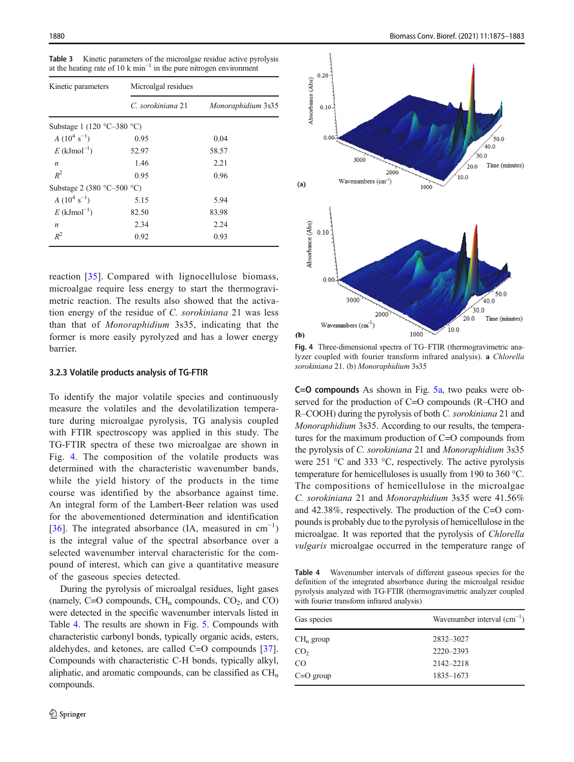| Kinetic parameters                           | Microalgal residues |                    |  |  |
|----------------------------------------------|---------------------|--------------------|--|--|
|                                              | C. sorokiniana 21   | Monoraphidium 3s35 |  |  |
| Substage 1 (120 $\degree$ C-380 $\degree$ C) |                     |                    |  |  |
| $A(10^4 \text{ s}^{-1})$                     | 0.95                | 0.04               |  |  |
| $E$ (kJmol <sup>-1</sup> )                   | 52.97               | 58.57              |  |  |
| $\boldsymbol{n}$                             | 1.46                | 2.21               |  |  |
| $R^2$                                        | 0.95                | 0.96               |  |  |
| Substage 2 (380 $\degree$ C-500 $\degree$ C) |                     |                    |  |  |
| $A(10^4 \text{ s}^{-1})$                     | 5.15                | 5.94               |  |  |
| $E$ (kJmol <sup>-1</sup> )                   | 82.50               | 83.98              |  |  |
| $\boldsymbol{n}$                             | 2.34                | 2.24               |  |  |
| $R^2$                                        | 0.92                | 0.93               |  |  |

<span id="page-5-0"></span>Table 3 Kinetic parameters of the microalgae residue active pyrolysis at the heating rate of 10 k min<sup> $-1$ </sup> in the pure nitrogen environment

reaction [\[35](#page-8-0)]. Compared with lignocellulose biomass, microalgae require less energy to start the thermogravimetric reaction. The results also showed that the activation energy of the residue of C. sorokiniana 21 was less than that of Monoraphidium 3s35, indicating that the former is more easily pyrolyzed and has a lower energy barrier.

#### 3.2.3 Volatile products analysis of TG-FTIR

To identify the major volatile species and continuously measure the volatiles and the devolatilization temperature during microalgae pyrolysis, TG analysis coupled with FTIR spectroscopy was applied in this study. The TG-FTIR spectra of these two microalgae are shown in Fig. 4. The composition of the volatile products was determined with the characteristic wavenumber bands, while the yield history of the products in the time course was identified by the absorbance against time. An integral form of the Lambert-Beer relation was used for the abovementioned determination and identification [\[36\]](#page-8-0). The integrated absorbance (IA, measured in  $cm^{-1}$ ) is the integral value of the spectral absorbance over a selected wavenumber interval characteristic for the compound of interest, which can give a quantitative measure of the gaseous species detected.

During the pyrolysis of microalgal residues, light gases (namely, C=O compounds,  $CH_n$  compounds,  $CO_2$ , and  $CO$ ) were detected in the specific wavenumber intervals listed in Table 4. The results are shown in Fig. [5.](#page-6-0) Compounds with characteristic carbonyl bonds, typically organic acids, esters, aldehydes, and ketones, are called C=O compounds [\[37](#page-8-0)]. Compounds with characteristic C-H bonds, typically alkyl, aliphatic, and aromatic compounds, can be classified as  $CH<sub>n</sub>$ compounds.



Fig. 4 Three-dimensional spectra of TG–FTIR (thermogravimetric analyzer coupled with fourier transform infrared analysis). a Chlorella sorokiniana 21. (b) Monoraphidium 3s35

C=O compounds As shown in Fig. [5a](#page-6-0), two peaks were observed for the production of C=O compounds (R–CHO and R–COOH) during the pyrolysis of both C. sorokiniana 21 and Monoraphidium 3s35. According to our results, the temperatures for the maximum production of C=O compounds from the pyrolysis of C. sorokiniana 21 and Monoraphidium 3s35 were 251 °C and 333 °C, respectively. The active pyrolysis temperature for hemicelluloses is usually from 190 to 360 °C. The compositions of hemicellulose in the microalgae C. sorokiniana 21 and Monoraphidium 3s35 were 41.56% and 42.38%, respectively. The production of the C=O compounds is probably due to the pyrolysis of hemicellulose in the microalgae. It was reported that the pyrolysis of Chlorella vulgaris microalgae occurred in the temperature range of

Table 4 Wavenumber intervals of different gaseous species for the definition of the integrated absorbance during the microalgal residue pyrolysis analyzed with TG-FTIR (thermogravimetric analyzer coupled with fourier transform infrared analysis)

| Gas species     | Wavenumber interval $(cm^{-1})$ |
|-----------------|---------------------------------|
| $CH_n$ group    | 2832-3027                       |
| CO <sub>2</sub> | 2220-2393                       |
| CO.             | 2142-2218                       |
| $C=O$ group     | 1835–1673                       |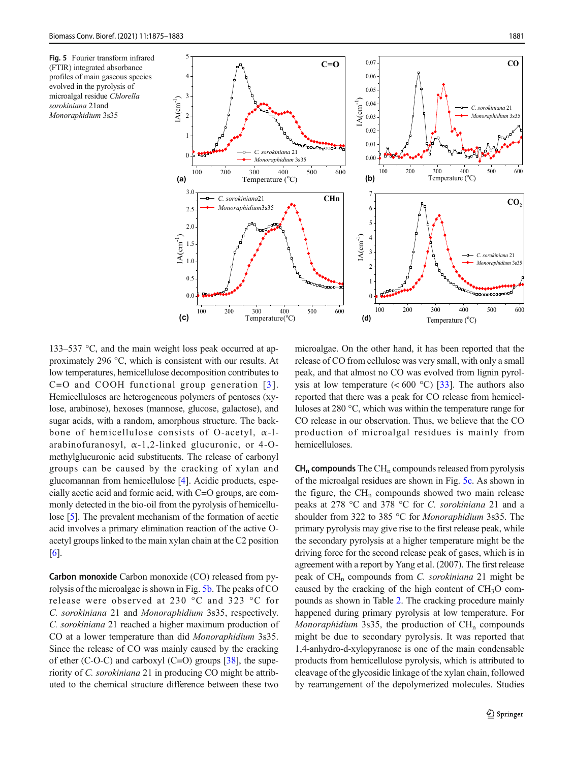<span id="page-6-0"></span>Fig. 5 Fourier transform infrared (FTIR) integrated absorbance profiles of main gaseous species evolved in the pyrolysis of microalgal residue Chlorella sorokiniana 21and Monoraphidium 3s35



133–537 °C, and the main weight loss peak occurred at approximately 296 °C, which is consistent with our results. At low temperatures, hemicellulose decomposition contributes to  $C=O$  and COOH functional group generation [[3\]](#page-7-0). Hemicelluloses are heterogeneous polymers of pentoses (xylose, arabinose), hexoses (mannose, glucose, galactose), and sugar acids, with a random, amorphous structure. The backbone of hemicellulose consists of O-acetyl, α-larabinofuranosyl, α-1,2-linked glucuronic, or 4-Omethylglucuronic acid substituents. The release of carbonyl groups can be caused by the cracking of xylan and glucomannan from hemicellulose [[4\]](#page-7-0). Acidic products, especially acetic acid and formic acid, with C=O groups, are commonly detected in the bio-oil from the pyrolysis of hemicellulose [[5](#page-7-0)]. The prevalent mechanism of the formation of acetic acid involves a primary elimination reaction of the active Oacetyl groups linked to the main xylan chain at the C2 position [\[6](#page-7-0)].

Carbon monoxide Carbon monoxide (CO) released from pyrolysis of the microalgae is shown in Fig. 5b. The peaks of CO release were observed at 230 °C and 323 °C for C. sorokiniana 21 and Monoraphidium 3s35, respectively. C. sorokiniana 21 reached a higher maximum production of CO at a lower temperature than did Monoraphidium 3s35. Since the release of CO was mainly caused by the cracking of ether (C-O-C) and carboxyl (C=O) groups  $[38]$ , the superiority of C. sorokiniana 21 in producing CO might be attributed to the chemical structure difference between these two

microalgae. On the other hand, it has been reported that the release of CO from cellulose was very small, with only a small peak, and that almost no CO was evolved from lignin pyrolysis at low temperature  $(< 600 °C)$  [\[33\]](#page-8-0). The authors also reported that there was a peak for CO release from hemicelluloses at 280 °C, which was within the temperature range for CO release in our observation. Thus, we believe that the CO production of microalgal residues is mainly from hemicelluloses.

 $CH_n$  compounds The CH<sub>n</sub> compounds released from pyrolysis of the microalgal residues are shown in Fig. 5c. As shown in the figure, the  $CH_n$  compounds showed two main release peaks at 278 °C and 378 °C for C. sorokiniana 21 and a shoulder from 322 to 385 °C for Monoraphidium 3s35. The primary pyrolysis may give rise to the first release peak, while the secondary pyrolysis at a higher temperature might be the driving force for the second release peak of gases, which is in agreement with a report by Yang et al. (2007). The first release peak of  $CH_n$  compounds from C. sorokiniana 21 might be caused by the cracking of the high content of  $CH<sub>3</sub>O$  compounds as shown in Table [2](#page-3-0). The cracking procedure mainly happened during primary pyrolysis at low temperature. For Monoraphidium 3s35, the production of  $CH_n$  compounds might be due to secondary pyrolysis. It was reported that 1,4-anhydro-d-xylopyranose is one of the main condensable products from hemicellulose pyrolysis, which is attributed to cleavage of the glycosidic linkage of the xylan chain, followed by rearrangement of the depolymerized molecules. Studies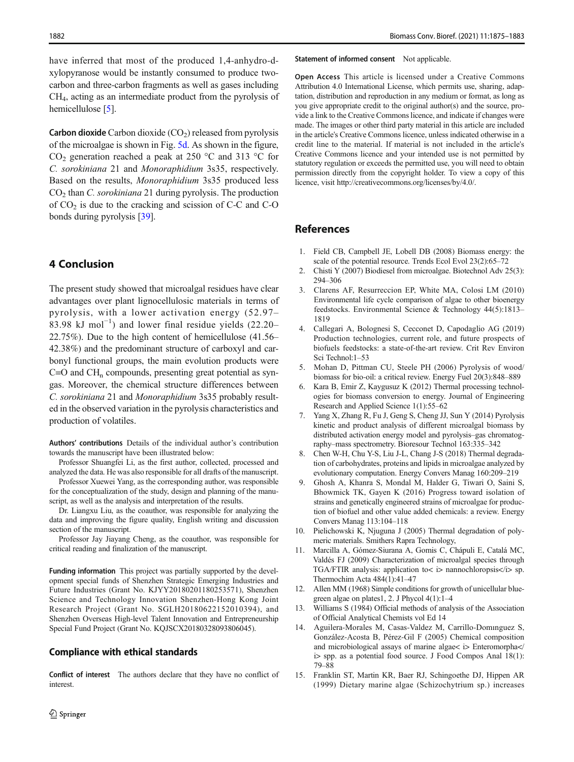<span id="page-7-0"></span>have inferred that most of the produced 1,4-anhydro-dxylopyranose would be instantly consumed to produce twocarbon and three-carbon fragments as well as gases including CH4, acting as an intermediate product from the pyrolysis of hemicellulose [5].

**Carbon dioxide** Carbon dioxide  $(CO<sub>2</sub>)$  released from pyrolysis of the microalgae is shown in Fig. [5d](#page-6-0). As shown in the figure,  $CO<sub>2</sub>$  generation reached a peak at 250 °C and 313 °C for C. sorokiniana 21 and Monoraphidium 3s35, respectively. Based on the results, Monoraphidium 3s35 produced less  $CO<sub>2</sub>$  than *C. sorokiniana* 21 during pyrolysis. The production of  $CO<sub>2</sub>$  is due to the cracking and scission of C-C and C-O bonds during pyrolysis [\[39](#page-8-0)].

# 4 Conclusion

The present study showed that microalgal residues have clear advantages over plant lignocellulosic materials in terms of pyrolysis, with a lower activation energy (52.97– 83.98 kJ mol<sup>-1</sup>) and lower final residue yields (22.20– 22.75%). Due to the high content of hemicellulose (41.56– 42.38%) and the predominant structure of carboxyl and carbonyl functional groups, the main evolution products were  $C=O$  and  $CH_n$  compounds, presenting great potential as syngas. Moreover, the chemical structure differences between C. sorokiniana 21 and Monoraphidium 3s35 probably resulted in the observed variation in the pyrolysis characteristics and production of volatiles.

Authors' contributions Details of the individual author's contribution towards the manuscript have been illustrated below:

Professor Shuangfei Li, as the first author, collected, processed and analyzed the data. He was also responsible for all drafts of the manuscript.

Professor Xuewei Yang, as the corresponding author, was responsible for the conceptualization of the study, design and planning of the manuscript, as well as the analysis and interpretation of the results.

Dr. Liangxu Liu, as the coauthor, was responsible for analyzing the data and improving the figure quality, English writing and discussion section of the manuscript.

Professor Jay Jiayang Cheng, as the coauthor, was responsible for critical reading and finalization of the manuscript.

Funding information This project was partially supported by the development special funds of Shenzhen Strategic Emerging Industries and Future Industries (Grant No. KJYY20180201180253571), Shenzhen Science and Technology Innovation Shenzhen-Hong Kong Joint Research Project (Grant No. SGLH20180622152010394), and Shenzhen Overseas High-level Talent Innovation and Entrepreneurship Special Fund Project (Grant No. KQJSCX20180328093806045).

#### Compliance with ethical standards

Conflict of interest The authors declare that they have no conflict of interest.

Statement of informed consent Not applicable.

Open Access This article is licensed under a Creative Commons Attribution 4.0 International License, which permits use, sharing, adaptation, distribution and reproduction in any medium or format, as long as you give appropriate credit to the original author(s) and the source, provide a link to the Creative Commons licence, and indicate if changes were made. The images or other third party material in this article are included in the article's Creative Commons licence, unless indicated otherwise in a credit line to the material. If material is not included in the article's Creative Commons licence and your intended use is not permitted by statutory regulation or exceeds the permitted use, you will need to obtain permission directly from the copyright holder. To view a copy of this licence, visit http://creativecommons.org/licenses/by/4.0/.

## References

- 1. Field CB, Campbell JE, Lobell DB (2008) Biomass energy: the scale of the potential resource. Trends Ecol Evol 23(2):65–72
- 2. Chisti Y (2007) Biodiesel from microalgae. Biotechnol Adv 25(3): 294–306
- 3. Clarens AF, Resurreccion EP, White MA, Colosi LM (2010) Environmental life cycle comparison of algae to other bioenergy feedstocks. Environmental Science & Technology 44(5):1813– 1819
- 4. Callegari A, Bolognesi S, Cecconet D, Capodaglio AG (2019) Production technologies, current role, and future prospects of biofuels feedstocks: a state-of-the-art review. Crit Rev Environ Sci Technol:1–53
- 5. Mohan D, Pittman CU, Steele PH (2006) Pyrolysis of wood/ biomass for bio-oil: a critical review. Energy Fuel 20(3):848–889
- 6. Kara B, Emir Z, Kaygusuz K (2012) Thermal processing technologies for biomass conversion to energy. Journal of Engineering Research and Applied Science 1(1):55–62
- 7. Yang X, Zhang R, Fu J, Geng S, Cheng JJ, Sun Y (2014) Pyrolysis kinetic and product analysis of different microalgal biomass by distributed activation energy model and pyrolysis–gas chromatography–mass spectrometry. Bioresour Technol 163:335–342
- 8. Chen W-H, Chu Y-S, Liu J-L, Chang J-S (2018) Thermal degradation of carbohydrates, proteins and lipids in microalgae analyzed by evolutionary computation. Energy Convers Manag 160:209–219
- 9. Ghosh A, Khanra S, Mondal M, Halder G, Tiwari O, Saini S, Bhowmick TK, Gayen K (2016) Progress toward isolation of strains and genetically engineered strains of microalgae for production of biofuel and other value added chemicals: a review. Energy Convers Manag 113:104–118
- 10. Pielichowski K, Njuguna J (2005) Thermal degradation of polymeric materials. Smithers Rapra Technology,
- 11. Marcilla A, Gómez-Siurana A, Gomis C, Chápuli E, Catalá MC, Valdés FJ (2009) Characterization of microalgal species through TGA/FTIR analysis: application to< i> nannochloropsis</i>></i> sp. Thermochim Acta 484(1):41–47
- 12. Allen MM (1968) Simple conditions for growth of unicellular bluegreen algae on plates1, 2. J Phycol 4(1):1–4
- 13. Williams S (1984) Official methods of analysis of the Association of Official Analytical Chemists vol Ed 14
- 14. Aguilera-Morales M, Casas-Valdez M, Carrillo-Domınguez S, González-Acosta B, Pérez-Gil F (2005) Chemical composition and microbiological assays of marine algae< i> Enteromorpha</ i> spp. as a potential food source. J Food Compos Anal 18(1): 79–88
- 15. Franklin ST, Martin KR, Baer RJ, Schingoethe DJ, Hippen AR (1999) Dietary marine algae (Schizochytrium sp.) increases